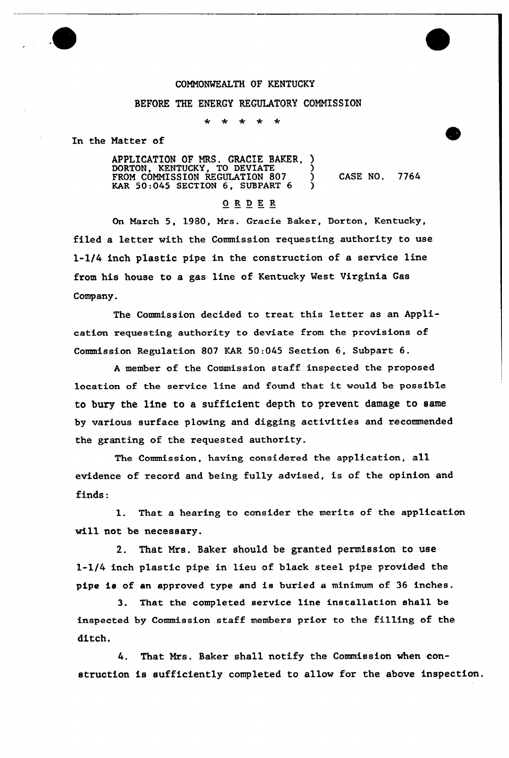## COMMONWEALTH OF KENTUCKY

## BEFORE THE ENERGY REGULATORY COMMISSION

 $\star$  $\star$  $\star$ 

In the Matter of

APPLICATION OF MRS. GRACIE BAKER, DORTON, KENTUCKY, TO DEVIATE ) FROM COMMISSION REGULATION 807 ) CASE NO. 7764 KAR 50:045 SECTION 6, SUBPART 6

## ORDER

On March 5, 1980, Mrs. Gracie Baker, Dorton, Kentucky, filed a letter with the Commission requesting authority to use l-l/4 inch plastic pipe in the construction of a service line from his house to a gas line of Kentucky West Virginia Gas Company.

The Commission decided to treat this letter as an Application requesting authority to deviate from the provisions of Commission Regulation 807 KAR 50:045 Section 6, Subpart 6.

<sup>A</sup> member of the Commission staff inspected the proposed location of the service line and found that it would be possible to bury the line to a sufficient depth to prevent damage to same by various surface plowing and digging activities and recommended the granting of the requested authority.

The Commission, having considered the application, all evidence of record and being fully advised, is of the opinion and finds:

1. That a hearing to consider the merits of the application will not be necessary.

2. That Mrs. Baker should be granted permission to use l-l/4 inch plastic pipe in lieu of black steel pipe provided the pipe is of an approved type and is buried a minimum of 36 inches.

3. That the completed service line installation sha11 be inspected by Commission staff members prior to the filling of the ditch.

4. That Mrs. Baker shall notify the Commission when construction is sufficiently completed to allow for the above inspection.